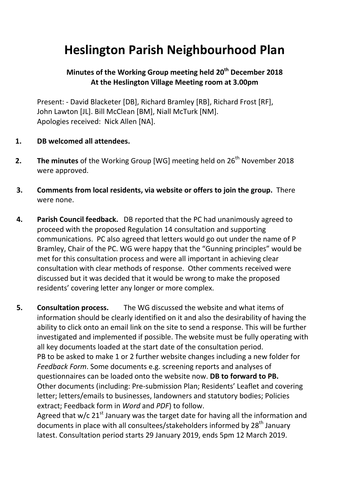## **Heslington Parish Neighbourhood Plan**

## **Minutes of the Working Group meeting held 20th December 2018 At the Heslington Village Meeting room at 3.00pm**

Present: - David Blacketer [DB], Richard Bramley [RB], Richard Frost [RF], John Lawton [JL]. Bill McClean [BM], Niall McTurk [NM]. Apologies received: Nick Allen [NA].

## **1. DB welcomed all attendees.**

- **2.** The minutes of the Working Group [WG] meeting held on 26<sup>th</sup> November 2018 were approved.
- **3. Comments from local residents, via website or offers to join the group.** There were none.
- **4. Parish Council feedback.** DB reported that the PC had unanimously agreed to proceed with the proposed Regulation 14 consultation and supporting communications. PC also agreed that letters would go out under the name of P Bramley, Chair of the PC. WG were happy that the "Gunning principles" would be met for this consultation process and were all important in achieving clear consultation with clear methods of response. Other comments received were discussed but it was decided that it would be wrong to make the proposed residents' covering letter any longer or more complex.

**5. Consultation process.** The WG discussed the website and what items of information should be clearly identified on it and also the desirability of having the ability to click onto an email link on the site to send a response. This will be further investigated and implemented if possible. The website must be fully operating with all key documents loaded at the start date of the consultation period. PB to be asked to make 1 or 2 further website changes including a new folder for *Feedback Form*. Some documents e.g. screening reports and analyses of questionnaires can be loaded onto the website now. **DB to forward to PB.** Other documents (including: Pre-submission Plan; Residents' Leaflet and covering letter; letters/emails to businesses, landowners and statutory bodies; Policies extract; Feedback form in *Word* and *PDF*) to follow.

Agreed that w/c  $21^{st}$  January was the target date for having all the information and documents in place with all consultees/stakeholders informed by 28<sup>th</sup> January latest. Consultation period starts 29 January 2019, ends 5pm 12 March 2019.